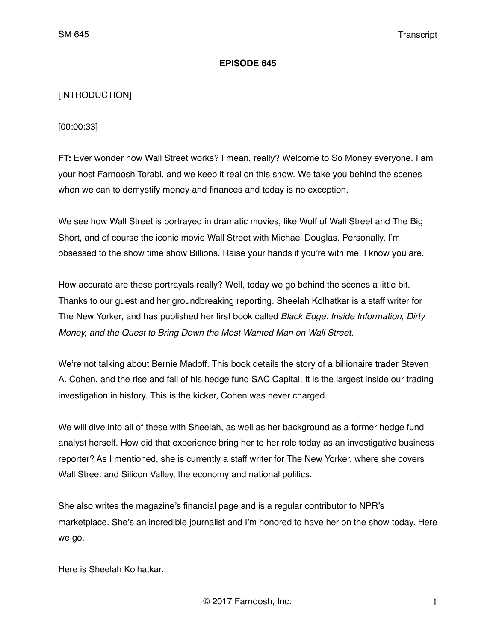#### **EPISODE 645**

#### [INTRODUCTION]

[00:00:33]

**FT:** Ever wonder how Wall Street works? I mean, really? Welcome to So Money everyone. I am your host Farnoosh Torabi, and we keep it real on this show. We take you behind the scenes when we can to demystify money and finances and today is no exception.

We see how Wall Street is portrayed in dramatic movies, like Wolf of Wall Street and The Big Short, and of course the iconic movie Wall Street with Michael Douglas. Personally, I'm obsessed to the show time show Billions. Raise your hands if you're with me. I know you are.

How accurate are these portrayals really? Well, today we go behind the scenes a little bit. Thanks to our guest and her groundbreaking reporting. Sheelah Kolhatkar is a staff writer for The New Yorker, and has published her first book called *Black Edge: Inside Information, Dirty Money, and the Quest to Bring Down the Most Wanted Man on Wall Street.*

We're not talking about Bernie Madoff. This book details the story of a billionaire trader Steven A. Cohen, and the rise and fall of his hedge fund SAC Capital. It is the largest inside our trading investigation in history. This is the kicker, Cohen was never charged.

We will dive into all of these with Sheelah, as well as her background as a former hedge fund analyst herself. How did that experience bring her to her role today as an investigative business reporter? As I mentioned, she is currently a staff writer for The New Yorker, where she covers Wall Street and Silicon Valley, the economy and national politics.

She also writes the magazine's financial page and is a regular contributor to NPR's marketplace. She's an incredible journalist and I'm honored to have her on the show today. Here we go.

Here is Sheelah Kolhatkar.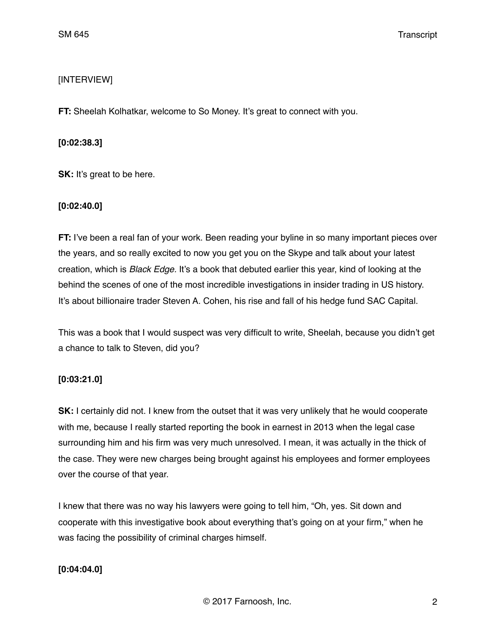## [INTERVIEW]

**FT:** Sheelah Kolhatkar, welcome to So Money. It's great to connect with you.

### **[0:02:38.3]**

**SK:** It's great to be here.

### **[0:02:40.0]**

**FT:** I've been a real fan of your work. Been reading your byline in so many important pieces over the years, and so really excited to now you get you on the Skype and talk about your latest creation, which is *Black Edge.* It's a book that debuted earlier this year, kind of looking at the behind the scenes of one of the most incredible investigations in insider trading in US history. It's about billionaire trader Steven A. Cohen, his rise and fall of his hedge fund SAC Capital.

This was a book that I would suspect was very difficult to write, Sheelah, because you didn't get a chance to talk to Steven, did you?

# **[0:03:21.0]**

**SK:** I certainly did not. I knew from the outset that it was very unlikely that he would cooperate with me, because I really started reporting the book in earnest in 2013 when the legal case surrounding him and his firm was very much unresolved. I mean, it was actually in the thick of the case. They were new charges being brought against his employees and former employees over the course of that year.

I knew that there was no way his lawyers were going to tell him, "Oh, yes. Sit down and cooperate with this investigative book about everything that's going on at your firm," when he was facing the possibility of criminal charges himself.

# **[0:04:04.0]**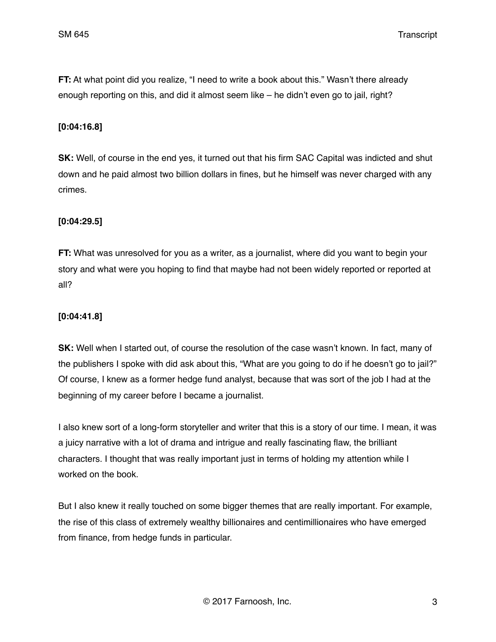SM 645 Transcript

**FT:** At what point did you realize, "I need to write a book about this." Wasn't there already enough reporting on this, and did it almost seem like – he didn't even go to jail, right?

#### **[0:04:16.8]**

**SK:** Well, of course in the end yes, it turned out that his firm SAC Capital was indicted and shut down and he paid almost two billion dollars in fines, but he himself was never charged with any crimes.

### **[0:04:29.5]**

**FT:** What was unresolved for you as a writer, as a journalist, where did you want to begin your story and what were you hoping to find that maybe had not been widely reported or reported at all?

### **[0:04:41.8]**

**SK:** Well when I started out, of course the resolution of the case wasn't known. In fact, many of the publishers I spoke with did ask about this, "What are you going to do if he doesn't go to jail?" Of course, I knew as a former hedge fund analyst, because that was sort of the job I had at the beginning of my career before I became a journalist.

I also knew sort of a long-form storyteller and writer that this is a story of our time. I mean, it was a juicy narrative with a lot of drama and intrigue and really fascinating flaw, the brilliant characters. I thought that was really important just in terms of holding my attention while I worked on the book.

But I also knew it really touched on some bigger themes that are really important. For example, the rise of this class of extremely wealthy billionaires and centimillionaires who have emerged from finance, from hedge funds in particular.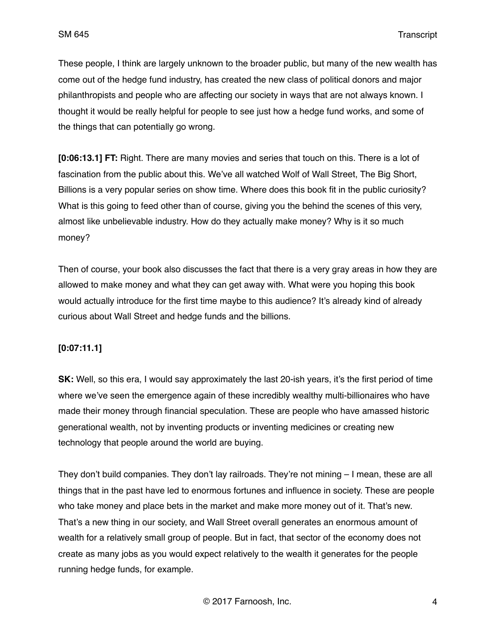These people, I think are largely unknown to the broader public, but many of the new wealth has come out of the hedge fund industry, has created the new class of political donors and major philanthropists and people who are affecting our society in ways that are not always known. I thought it would be really helpful for people to see just how a hedge fund works, and some of the things that can potentially go wrong.

**[0:06:13.1] FT:** Right. There are many movies and series that touch on this. There is a lot of fascination from the public about this. We've all watched Wolf of Wall Street, The Big Short, Billions is a very popular series on show time. Where does this book fit in the public curiosity? What is this going to feed other than of course, giving you the behind the scenes of this very. almost like unbelievable industry. How do they actually make money? Why is it so much money?

Then of course, your book also discusses the fact that there is a very gray areas in how they are allowed to make money and what they can get away with. What were you hoping this book would actually introduce for the first time maybe to this audience? It's already kind of already curious about Wall Street and hedge funds and the billions.

### **[0:07:11.1]**

**SK:** Well, so this era, I would say approximately the last 20-ish years, it's the first period of time where we've seen the emergence again of these incredibly wealthy multi-billionaires who have made their money through financial speculation. These are people who have amassed historic generational wealth, not by inventing products or inventing medicines or creating new technology that people around the world are buying.

They don't build companies. They don't lay railroads. They're not mining – I mean, these are all things that in the past have led to enormous fortunes and influence in society. These are people who take money and place bets in the market and make more money out of it. That's new. That's a new thing in our society, and Wall Street overall generates an enormous amount of wealth for a relatively small group of people. But in fact, that sector of the economy does not create as many jobs as you would expect relatively to the wealth it generates for the people running hedge funds, for example.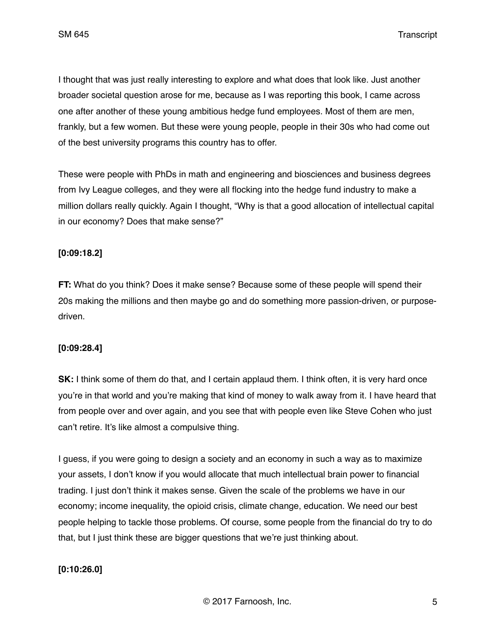I thought that was just really interesting to explore and what does that look like. Just another broader societal question arose for me, because as I was reporting this book, I came across one after another of these young ambitious hedge fund employees. Most of them are men, frankly, but a few women. But these were young people, people in their 30s who had come out of the best university programs this country has to offer.

These were people with PhDs in math and engineering and biosciences and business degrees from Ivy League colleges, and they were all flocking into the hedge fund industry to make a million dollars really quickly. Again I thought, "Why is that a good allocation of intellectual capital in our economy? Does that make sense?"

### **[0:09:18.2]**

**FT:** What do you think? Does it make sense? Because some of these people will spend their 20s making the millions and then maybe go and do something more passion-driven, or purposedriven.

### **[0:09:28.4]**

**SK:** I think some of them do that, and I certain applaud them. I think often, it is very hard once you're in that world and you're making that kind of money to walk away from it. I have heard that from people over and over again, and you see that with people even like Steve Cohen who just can't retire. It's like almost a compulsive thing.

I guess, if you were going to design a society and an economy in such a way as to maximize your assets, I don't know if you would allocate that much intellectual brain power to financial trading. I just don't think it makes sense. Given the scale of the problems we have in our economy; income inequality, the opioid crisis, climate change, education. We need our best people helping to tackle those problems. Of course, some people from the financial do try to do that, but I just think these are bigger questions that we're just thinking about.

### **[0:10:26.0]**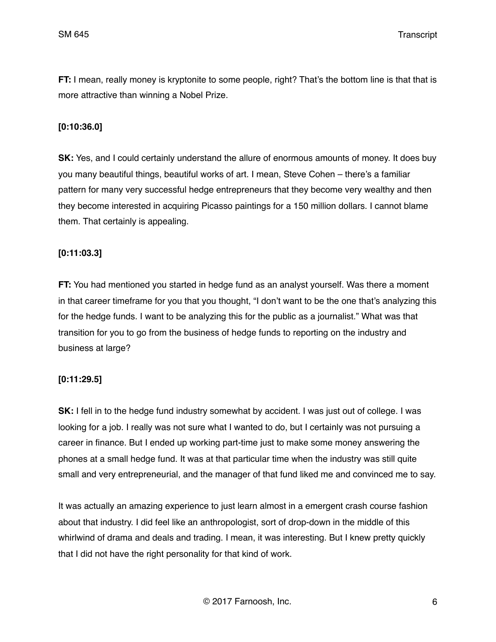SM 645 Transcript

**FT:** I mean, really money is kryptonite to some people, right? That's the bottom line is that that is more attractive than winning a Nobel Prize.

#### **[0:10:36.0]**

**SK:** Yes, and I could certainly understand the allure of enormous amounts of money. It does buy you many beautiful things, beautiful works of art. I mean, Steve Cohen – there's a familiar pattern for many very successful hedge entrepreneurs that they become very wealthy and then they become interested in acquiring Picasso paintings for a 150 million dollars. I cannot blame them. That certainly is appealing.

#### **[0:11:03.3]**

**FT:** You had mentioned you started in hedge fund as an analyst yourself. Was there a moment in that career timeframe for you that you thought, "I don't want to be the one that's analyzing this for the hedge funds. I want to be analyzing this for the public as a journalist." What was that transition for you to go from the business of hedge funds to reporting on the industry and business at large?

### **[0:11:29.5]**

**SK:** I fell in to the hedge fund industry somewhat by accident. I was just out of college. I was looking for a job. I really was not sure what I wanted to do, but I certainly was not pursuing a career in finance. But I ended up working part-time just to make some money answering the phones at a small hedge fund. It was at that particular time when the industry was still quite small and very entrepreneurial, and the manager of that fund liked me and convinced me to say.

It was actually an amazing experience to just learn almost in a emergent crash course fashion about that industry. I did feel like an anthropologist, sort of drop-down in the middle of this whirlwind of drama and deals and trading. I mean, it was interesting. But I knew pretty quickly that I did not have the right personality for that kind of work.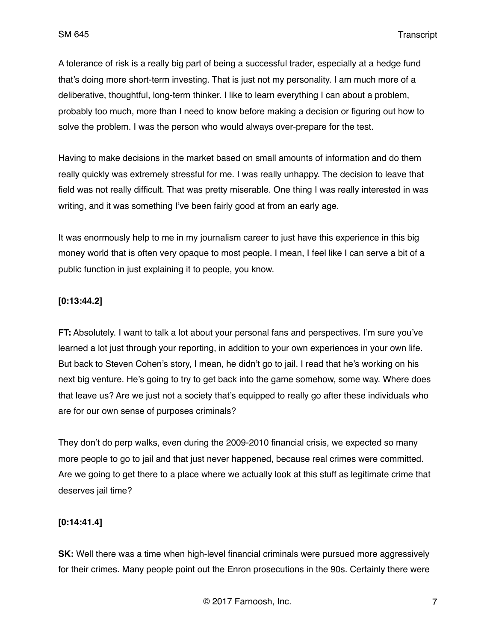A tolerance of risk is a really big part of being a successful trader, especially at a hedge fund that's doing more short-term investing. That is just not my personality. I am much more of a deliberative, thoughtful, long-term thinker. I like to learn everything I can about a problem, probably too much, more than I need to know before making a decision or figuring out how to solve the problem. I was the person who would always over-prepare for the test.

Having to make decisions in the market based on small amounts of information and do them really quickly was extremely stressful for me. I was really unhappy. The decision to leave that field was not really difficult. That was pretty miserable. One thing I was really interested in was writing, and it was something I've been fairly good at from an early age.

It was enormously help to me in my journalism career to just have this experience in this big money world that is often very opaque to most people. I mean, I feel like I can serve a bit of a public function in just explaining it to people, you know.

### **[0:13:44.2]**

**FT:** Absolutely. I want to talk a lot about your personal fans and perspectives. I'm sure you've learned a lot just through your reporting, in addition to your own experiences in your own life. But back to Steven Cohen's story, I mean, he didn't go to jail. I read that he's working on his next big venture. He's going to try to get back into the game somehow, some way. Where does that leave us? Are we just not a society that's equipped to really go after these individuals who are for our own sense of purposes criminals?

They don't do perp walks, even during the 2009-2010 financial crisis, we expected so many more people to go to jail and that just never happened, because real crimes were committed. Are we going to get there to a place where we actually look at this stuff as legitimate crime that deserves jail time?

#### **[0:14:41.4]**

**SK:** Well there was a time when high-level financial criminals were pursued more aggressively for their crimes. Many people point out the Enron prosecutions in the 90s. Certainly there were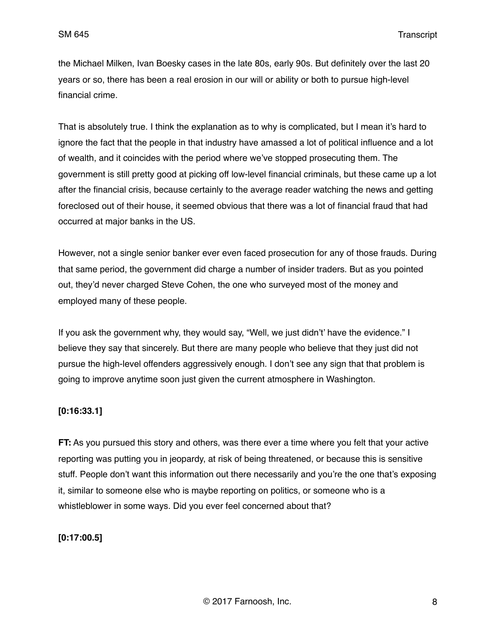the Michael Milken, Ivan Boesky cases in the late 80s, early 90s. But definitely over the last 20 years or so, there has been a real erosion in our will or ability or both to pursue high-level financial crime.

That is absolutely true. I think the explanation as to why is complicated, but I mean it's hard to ignore the fact that the people in that industry have amassed a lot of political influence and a lot of wealth, and it coincides with the period where we've stopped prosecuting them. The government is still pretty good at picking off low-level financial criminals, but these came up a lot after the financial crisis, because certainly to the average reader watching the news and getting foreclosed out of their house, it seemed obvious that there was a lot of financial fraud that had occurred at major banks in the US.

However, not a single senior banker ever even faced prosecution for any of those frauds. During that same period, the government did charge a number of insider traders. But as you pointed out, they'd never charged Steve Cohen, the one who surveyed most of the money and employed many of these people.

If you ask the government why, they would say, "Well, we just didn't' have the evidence." I believe they say that sincerely. But there are many people who believe that they just did not pursue the high-level offenders aggressively enough. I don't see any sign that that problem is going to improve anytime soon just given the current atmosphere in Washington.

### **[0:16:33.1]**

**FT:** As you pursued this story and others, was there ever a time where you felt that your active reporting was putting you in jeopardy, at risk of being threatened, or because this is sensitive stuff. People don't want this information out there necessarily and you're the one that's exposing it, similar to someone else who is maybe reporting on politics, or someone who is a whistleblower in some ways. Did you ever feel concerned about that?

### **[0:17:00.5]**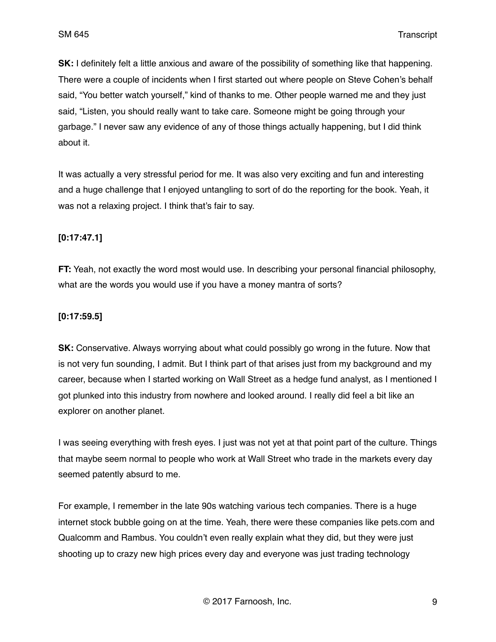**SK:** I definitely felt a little anxious and aware of the possibility of something like that happening. There were a couple of incidents when I first started out where people on Steve Cohen's behalf said, "You better watch yourself," kind of thanks to me. Other people warned me and they just said, "Listen, you should really want to take care. Someone might be going through your garbage." I never saw any evidence of any of those things actually happening, but I did think about it.

It was actually a very stressful period for me. It was also very exciting and fun and interesting and a huge challenge that I enjoyed untangling to sort of do the reporting for the book. Yeah, it was not a relaxing project. I think that's fair to say.

### **[0:17:47.1]**

**FT:** Yeah, not exactly the word most would use. In describing your personal financial philosophy, what are the words you would use if you have a money mantra of sorts?

### **[0:17:59.5]**

**SK:** Conservative. Always worrying about what could possibly go wrong in the future. Now that is not very fun sounding, I admit. But I think part of that arises just from my background and my career, because when I started working on Wall Street as a hedge fund analyst, as I mentioned I got plunked into this industry from nowhere and looked around. I really did feel a bit like an explorer on another planet.

I was seeing everything with fresh eyes. I just was not yet at that point part of the culture. Things that maybe seem normal to people who work at Wall Street who trade in the markets every day seemed patently absurd to me.

For example, I remember in the late 90s watching various tech companies. There is a huge internet stock bubble going on at the time. Yeah, there were these companies like pets.com and Qualcomm and Rambus. You couldn't even really explain what they did, but they were just shooting up to crazy new high prices every day and everyone was just trading technology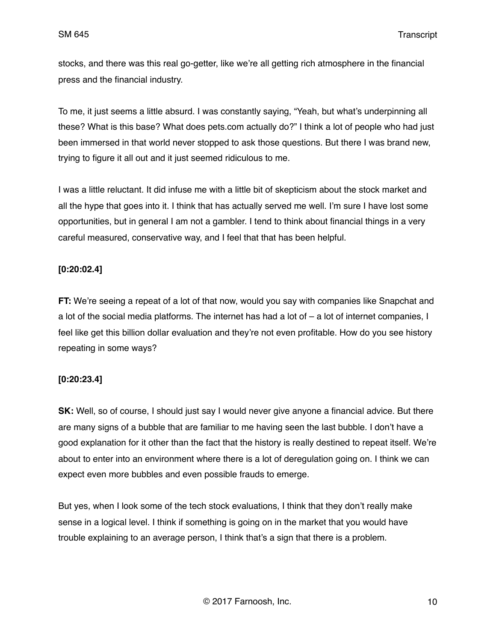stocks, and there was this real go-getter, like we're all getting rich atmosphere in the financial press and the financial industry.

To me, it just seems a little absurd. I was constantly saying, "Yeah, but what's underpinning all these? What is this base? What does pets.com actually do?" I think a lot of people who had just been immersed in that world never stopped to ask those questions. But there I was brand new, trying to figure it all out and it just seemed ridiculous to me.

I was a little reluctant. It did infuse me with a little bit of skepticism about the stock market and all the hype that goes into it. I think that has actually served me well. I'm sure I have lost some opportunities, but in general I am not a gambler. I tend to think about financial things in a very careful measured, conservative way, and I feel that that has been helpful.

## **[0:20:02.4]**

**FT:** We're seeing a repeat of a lot of that now, would you say with companies like Snapchat and a lot of the social media platforms. The internet has had a lot of – a lot of internet companies, I feel like get this billion dollar evaluation and they're not even profitable. How do you see history repeating in some ways?

# **[0:20:23.4]**

**SK:** Well, so of course, I should just say I would never give anyone a financial advice. But there are many signs of a bubble that are familiar to me having seen the last bubble. I don't have a good explanation for it other than the fact that the history is really destined to repeat itself. We're about to enter into an environment where there is a lot of deregulation going on. I think we can expect even more bubbles and even possible frauds to emerge.

But yes, when I look some of the tech stock evaluations, I think that they don't really make sense in a logical level. I think if something is going on in the market that you would have trouble explaining to an average person, I think that's a sign that there is a problem.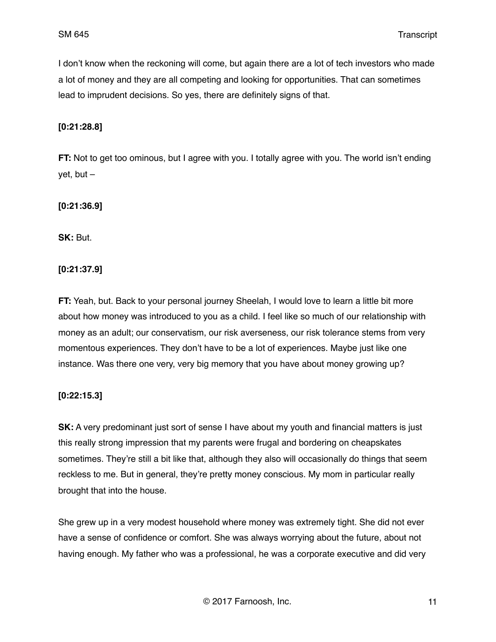I don't know when the reckoning will come, but again there are a lot of tech investors who made a lot of money and they are all competing and looking for opportunities. That can sometimes lead to imprudent decisions. So yes, there are definitely signs of that.

#### **[0:21:28.8]**

**FT:** Not to get too ominous, but I agree with you. I totally agree with you. The world isn't ending yet, but –

**[0:21:36.9]**

**SK:** But.

**[0:21:37.9]**

**FT:** Yeah, but. Back to your personal journey Sheelah, I would love to learn a little bit more about how money was introduced to you as a child. I feel like so much of our relationship with money as an adult; our conservatism, our risk averseness, our risk tolerance stems from very momentous experiences. They don't have to be a lot of experiences. Maybe just like one instance. Was there one very, very big memory that you have about money growing up?

### **[0:22:15.3]**

**SK:** A very predominant just sort of sense I have about my youth and financial matters is just this really strong impression that my parents were frugal and bordering on cheapskates sometimes. They're still a bit like that, although they also will occasionally do things that seem reckless to me. But in general, they're pretty money conscious. My mom in particular really brought that into the house.

She grew up in a very modest household where money was extremely tight. She did not ever have a sense of confidence or comfort. She was always worrying about the future, about not having enough. My father who was a professional, he was a corporate executive and did very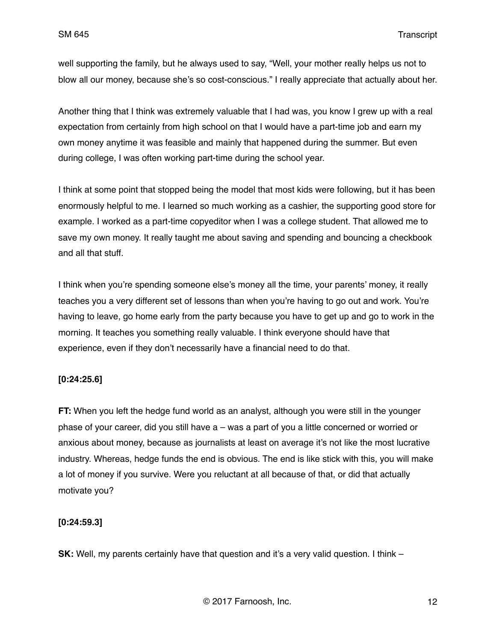well supporting the family, but he always used to say, "Well, your mother really helps us not to blow all our money, because she's so cost-conscious." I really appreciate that actually about her.

Another thing that I think was extremely valuable that I had was, you know I grew up with a real expectation from certainly from high school on that I would have a part-time job and earn my own money anytime it was feasible and mainly that happened during the summer. But even during college, I was often working part-time during the school year.

I think at some point that stopped being the model that most kids were following, but it has been enormously helpful to me. I learned so much working as a cashier, the supporting good store for example. I worked as a part-time copyeditor when I was a college student. That allowed me to save my own money. It really taught me about saving and spending and bouncing a checkbook and all that stuff.

I think when you're spending someone else's money all the time, your parents' money, it really teaches you a very different set of lessons than when you're having to go out and work. You're having to leave, go home early from the party because you have to get up and go to work in the morning. It teaches you something really valuable. I think everyone should have that experience, even if they don't necessarily have a financial need to do that.

### **[0:24:25.6]**

**FT:** When you left the hedge fund world as an analyst, although you were still in the younger phase of your career, did you still have a – was a part of you a little concerned or worried or anxious about money, because as journalists at least on average it's not like the most lucrative industry. Whereas, hedge funds the end is obvious. The end is like stick with this, you will make a lot of money if you survive. Were you reluctant at all because of that, or did that actually motivate you?

#### **[0:24:59.3]**

**SK:** Well, my parents certainly have that question and it's a very valid question. I think –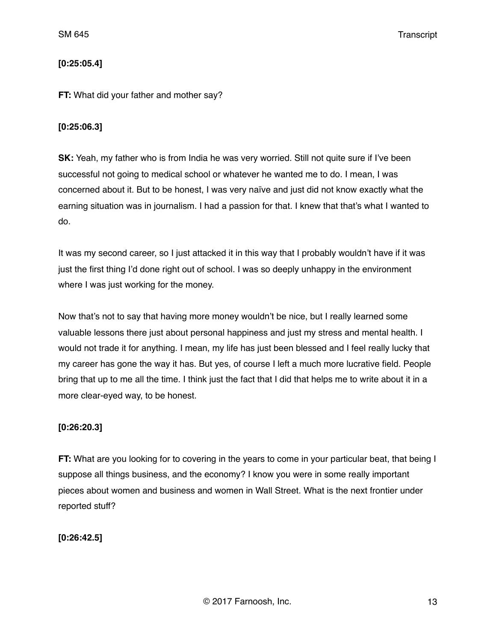## **[0:25:05.4]**

#### **FT:** What did your father and mother say?

#### **[0:25:06.3]**

**SK:** Yeah, my father who is from India he was very worried. Still not quite sure if I've been successful not going to medical school or whatever he wanted me to do. I mean, I was concerned about it. But to be honest, I was very naïve and just did not know exactly what the earning situation was in journalism. I had a passion for that. I knew that that's what I wanted to do.

It was my second career, so I just attacked it in this way that I probably wouldn't have if it was just the first thing I'd done right out of school. I was so deeply unhappy in the environment where I was just working for the money.

Now that's not to say that having more money wouldn't be nice, but I really learned some valuable lessons there just about personal happiness and just my stress and mental health. I would not trade it for anything. I mean, my life has just been blessed and I feel really lucky that my career has gone the way it has. But yes, of course I left a much more lucrative field. People bring that up to me all the time. I think just the fact that I did that helps me to write about it in a more clear-eyed way, to be honest.

### **[0:26:20.3]**

**FT:** What are you looking for to covering in the years to come in your particular beat, that being I suppose all things business, and the economy? I know you were in some really important pieces about women and business and women in Wall Street. What is the next frontier under reported stuff?

**[0:26:42.5]**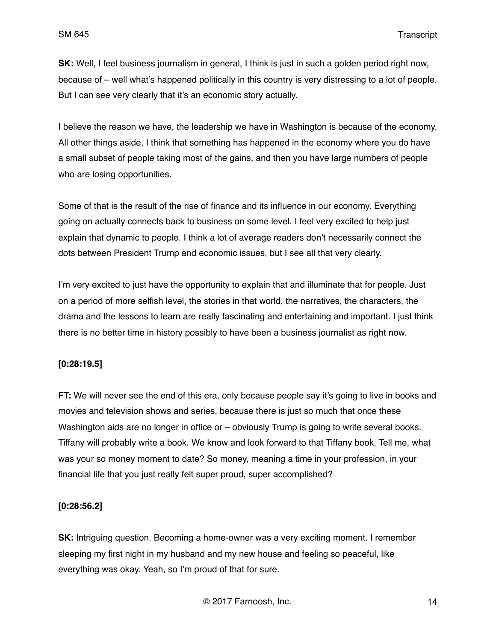**SK:** Well, I feel business journalism in general, I think is just in such a golden period right now, because of – well what's happened politically in this country is very distressing to a lot of people. But I can see very clearly that it's an economic story actually.

I believe the reason we have, the leadership we have in Washington is because of the economy. All other things aside, I think that something has happened in the economy where you do have a small subset of people taking most of the gains, and then you have large numbers of people who are losing opportunities.

Some of that is the result of the rise of finance and its influence in our economy. Everything going on actually connects back to business on some level. I feel very excited to help just explain that dynamic to people. I think a lot of average readers don't necessarily connect the dots between President Trump and economic issues, but I see all that very clearly.

I'm very excited to just have the opportunity to explain that and illuminate that for people. Just on a period of more selfish level, the stories in that world, the narratives, the characters, the drama and the lessons to learn are really fascinating and entertaining and important. I just think there is no better time in history possibly to have been a business journalist as right now.

### **[0:28:19.5]**

**FT:** We will never see the end of this era, only because people say it's going to live in books and movies and television shows and series, because there is just so much that once these Washington aids are no longer in office or – obviously Trump is going to write several books. Tiffany will probably write a book. We know and look forward to that Tiffany book. Tell me, what was your so money moment to date? So money, meaning a time in your profession, in your financial life that you just really felt super proud, super accomplished?

### **[0:28:56.2]**

**SK:** Intriguing question. Becoming a home-owner was a very exciting moment. I remember sleeping my first night in my husband and my new house and feeling so peaceful, like everything was okay. Yeah, so I'm proud of that for sure.

© 2017 Farnoosh, Inc. 14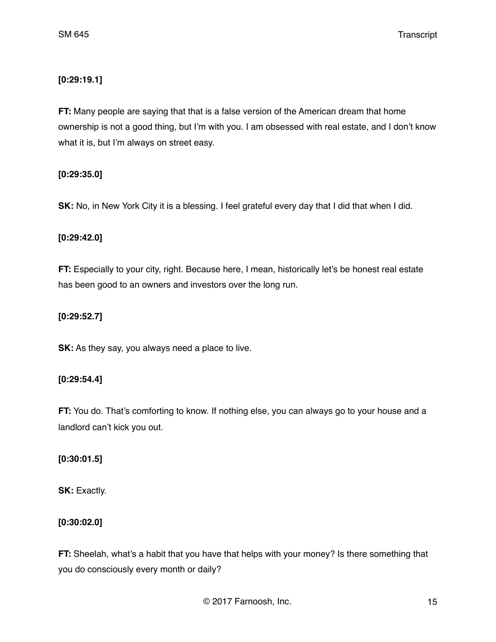## **[0:29:19.1]**

**FT:** Many people are saying that that is a false version of the American dream that home ownership is not a good thing, but I'm with you. I am obsessed with real estate, and I don't know what it is, but I'm always on street easy.

## **[0:29:35.0]**

**SK:** No, in New York City it is a blessing. I feel grateful every day that I did that when I did.

### **[0:29:42.0]**

**FT:** Especially to your city, right. Because here, I mean, historically let's be honest real estate has been good to an owners and investors over the long run.

## **[0:29:52.7]**

**SK:** As they say, you always need a place to live.

### **[0:29:54.4]**

**FT:** You do. That's comforting to know. If nothing else, you can always go to your house and a landlord can't kick you out.

# **[0:30:01.5]**

**SK:** Exactly.

### **[0:30:02.0]**

**FT:** Sheelah, what's a habit that you have that helps with your money? Is there something that you do consciously every month or daily?

© 2017 Farnoosh, Inc. 15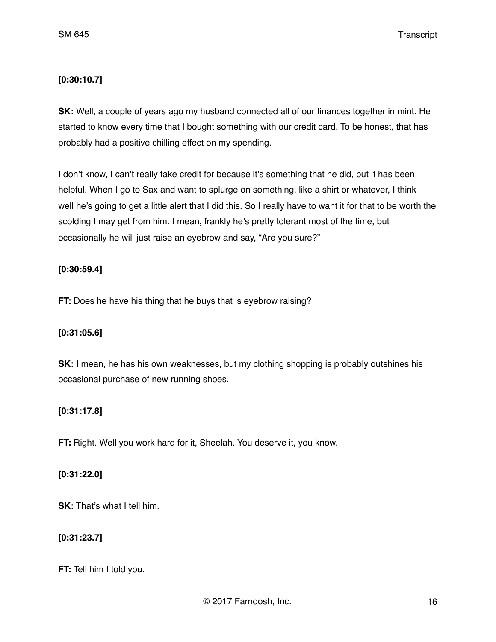### **[0:30:10.7]**

**SK:** Well, a couple of years ago my husband connected all of our finances together in mint. He started to know every time that I bought something with our credit card. To be honest, that has probably had a positive chilling effect on my spending.

I don't know, I can't really take credit for because it's something that he did, but it has been helpful. When I go to Sax and want to splurge on something, like a shirt or whatever, I think – well he's going to get a little alert that I did this. So I really have to want it for that to be worth the scolding I may get from him. I mean, frankly he's pretty tolerant most of the time, but occasionally he will just raise an eyebrow and say, "Are you sure?"

## **[0:30:59.4]**

**FT:** Does he have his thing that he buys that is eyebrow raising?

# **[0:31:05.6]**

**SK:** I mean, he has his own weaknesses, but my clothing shopping is probably outshines his occasional purchase of new running shoes.

# **[0:31:17.8]**

**FT:** Right. Well you work hard for it, Sheelah. You deserve it, you know.

### **[0:31:22.0]**

**SK:** That's what I tell him.

### **[0:31:23.7]**

**FT:** Tell him I told you.